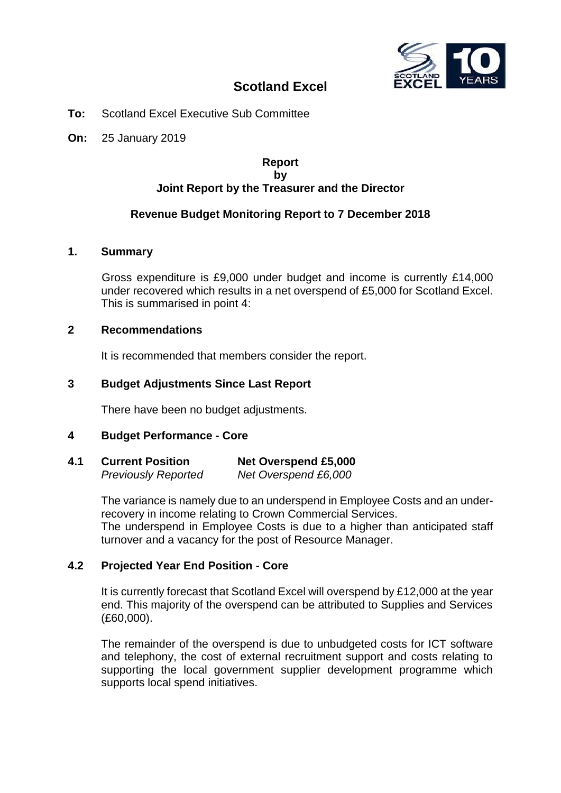

# **Scotland Excel**

- **To:** Scotland Excel Executive Sub Committee
- **On:** 25 January 2019

### **Report by Joint Report by the Treasurer and the Director**

# **Revenue Budget Monitoring Report to 7 December 2018**

#### **1. Summary**

Gross expenditure is £9,000 under budget and income is currently £14,000 under recovered which results in a net overspend of £5,000 for Scotland Excel. This is summarised in point 4:

#### **2 Recommendations**

It is recommended that members consider the report.

# **3 Budget Adjustments Since Last Report**

There have been no budget adjustments.

# **4 Budget Performance - Core**

| 4.1 | <b>Current Position</b>    | <b>Net Overspend £5,000</b> |
|-----|----------------------------|-----------------------------|
|     | <b>Previously Reported</b> | Net Overspend £6,000        |

The variance is namely due to an underspend in Employee Costs and an underrecovery in income relating to Crown Commercial Services. The underspend in Employee Costs is due to a higher than anticipated staff turnover and a vacancy for the post of Resource Manager.

# **4.2 Projected Year End Position - Core**

It is currently forecast that Scotland Excel will overspend by £12,000 at the year end. This majority of the overspend can be attributed to Supplies and Services (£60,000).

The remainder of the overspend is due to unbudgeted costs for ICT software and telephony, the cost of external recruitment support and costs relating to supporting the local government supplier development programme which supports local spend initiatives.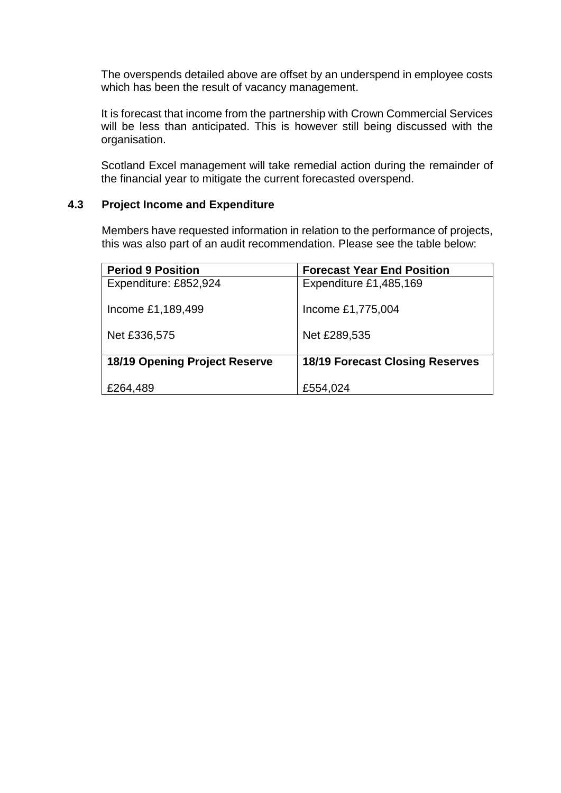The overspends detailed above are offset by an underspend in employee costs which has been the result of vacancy management.

It is forecast that income from the partnership with Crown Commercial Services will be less than anticipated. This is however still being discussed with the organisation.

Scotland Excel management will take remedial action during the remainder of the financial year to mitigate the current forecasted overspend.

### **4.3 Project Income and Expenditure**

Members have requested information in relation to the performance of projects, this was also part of an audit recommendation. Please see the table below:

| <b>Period 9 Position</b>             | <b>Forecast Year End Position</b>      |  |  |  |  |  |  |  |
|--------------------------------------|----------------------------------------|--|--|--|--|--|--|--|
| Expenditure: £852,924                | Expenditure £1,485,169                 |  |  |  |  |  |  |  |
| Income £1,189,499                    | Income £1,775,004                      |  |  |  |  |  |  |  |
| Net £336,575                         | Net £289,535                           |  |  |  |  |  |  |  |
|                                      |                                        |  |  |  |  |  |  |  |
| <b>18/19 Opening Project Reserve</b> | <b>18/19 Forecast Closing Reserves</b> |  |  |  |  |  |  |  |
| £264,489                             | £554,024                               |  |  |  |  |  |  |  |